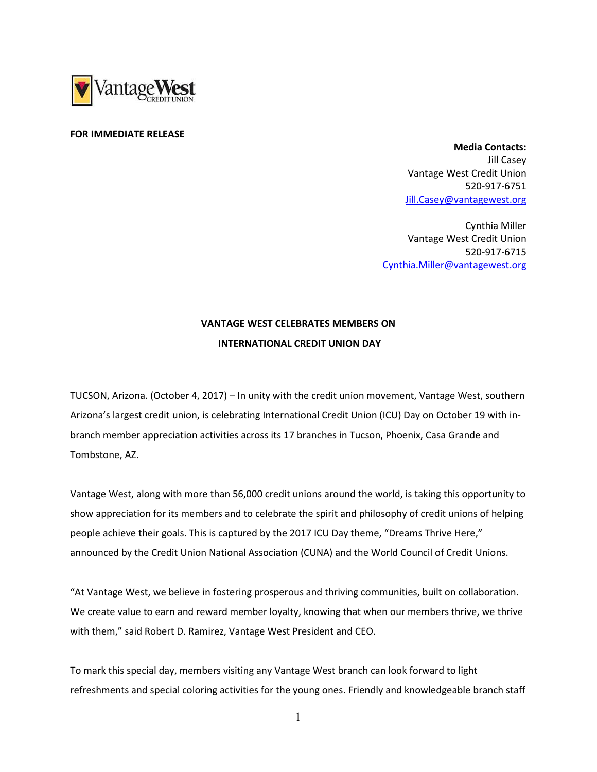

## FOR IMMEDIATE RELEASE

 Media Contacts: Jill Casey Vantage West Credit Union 520-917-6751 Jill.Casey@vantagewest.org

Cynthia Miller Vantage West Credit Union 520-917-6715 Cynthia.Miller@vantagewest.org

## VANTAGE WEST CELEBRATES MEMBERS ON INTERNATIONAL CREDIT UNION DAY

TUCSON, Arizona. (October 4, 2017) – In unity with the credit union movement, Vantage West, southern Arizona's largest credit union, is celebrating International Credit Union (ICU) Day on October 19 with inbranch member appreciation activities across its 17 branches in Tucson, Phoenix, Casa Grande and Tombstone, AZ.

Vantage West, along with more than 56,000 credit unions around the world, is taking this opportunity to show appreciation for its members and to celebrate the spirit and philosophy of credit unions of helping people achieve their goals. This is captured by the 2017 ICU Day theme, "Dreams Thrive Here," announced by the Credit Union National Association (CUNA) and the World Council of Credit Unions.

"At Vantage West, we believe in fostering prosperous and thriving communities, built on collaboration. We create value to earn and reward member loyalty, knowing that when our members thrive, we thrive with them," said Robert D. Ramirez, Vantage West President and CEO.

To mark this special day, members visiting any Vantage West branch can look forward to light refreshments and special coloring activities for the young ones. Friendly and knowledgeable branch staff